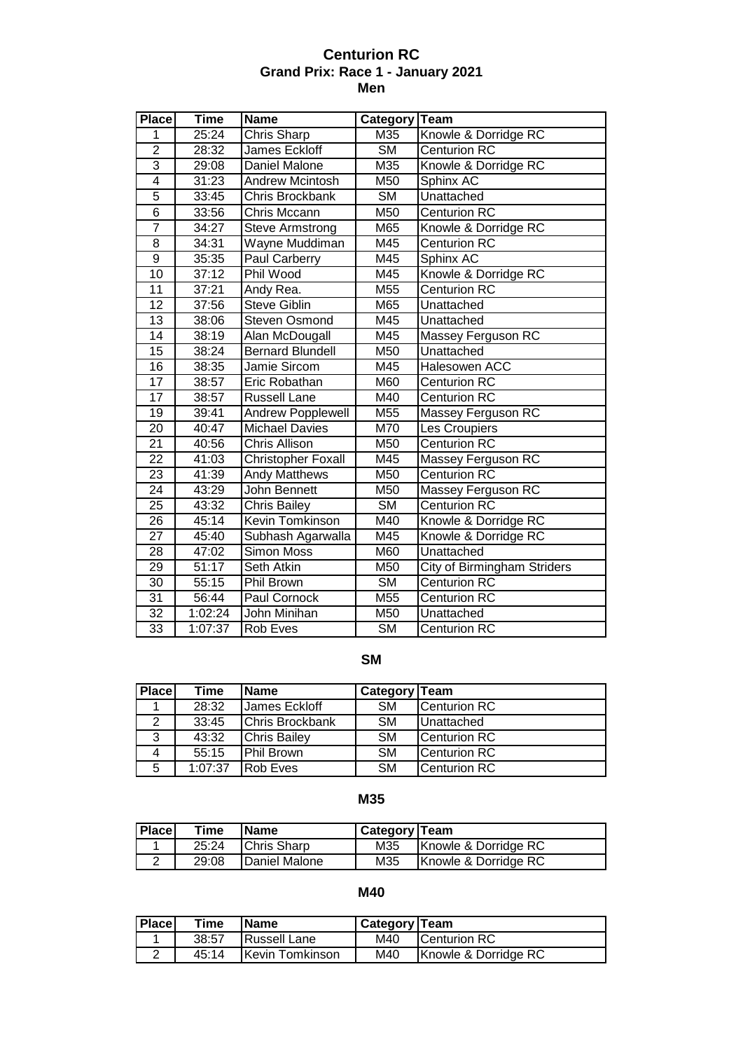#### **Centurion RC Grand Prix: Race 1 - January 2021 Men**

| <b>Place</b>    | <b>Time</b> | <b>Name</b>               | Category   | <b>Team</b>                        |
|-----------------|-------------|---------------------------|------------|------------------------------------|
| 1               | 25:24       | Chris Sharp               | M35        | Knowle & Dorridge RC               |
| $\overline{2}$  | 28:32       | James Eckloff             | <b>SM</b>  | <b>Centurion RC</b>                |
| 3               | 29:08       | Daniel Malone             | M35        | Knowle & Dorridge RC               |
| $\overline{4}$  | 31:23       | <b>Andrew Mcintosh</b>    | M50        | Sphinx AC                          |
| $\overline{5}$  | 33:45       | <b>Chris Brockbank</b>    | <b>SM</b>  | Unattached                         |
| $\overline{6}$  | 33:56       | Chris Mccann              | M50        | <b>Centurion RC</b>                |
| 7               | 34:27       | Steve Armstrong           | M65        | Knowle & Dorridge RC               |
| $\overline{8}$  | 34:31       | Wayne Muddiman            | M45        | <b>Centurion RC</b>                |
| $\overline{9}$  | 35:35       | Paul Carberry             | M45        | Sphinx AC                          |
| $\overline{10}$ | 37:12       | Phil Wood                 | M45        | Knowle & Dorridge RC               |
| $\overline{11}$ | 37:21       | Andy Rea.                 | M55        | <b>Centurion RC</b>                |
| 12              | 37:56       | <b>Steve Giblin</b>       | M65        | Unattached                         |
| $\overline{13}$ | 38:06       | <b>Steven Osmond</b>      | M45        | Unattached                         |
| $\overline{14}$ | 38:19       | Alan McDougall            | M45        | Massey Ferguson RC                 |
| $\overline{15}$ | 38:24       | <b>Bernard Blundell</b>   | M50        | Unattached                         |
| $\overline{16}$ | 38:35       | Jamie Sircom              | M45        | Halesowen ACC                      |
| $\overline{17}$ | 38:57       | Eric Robathan             | <b>M60</b> | <b>Centurion RC</b>                |
| $\overline{17}$ | 38:57       | <b>Russell Lane</b>       | M40        | <b>Centurion RC</b>                |
| 19              | 39:41       | <b>Andrew Popplewell</b>  | M55        | Massey Ferguson RC                 |
| $\overline{20}$ | 40:47       | <b>Michael Davies</b>     | M70        | Les Croupiers                      |
| 21              | 40:56       | <b>Chris Allison</b>      | M50        | <b>Centurion RC</b>                |
| $\overline{22}$ | 41:03       | <b>Christopher Foxall</b> | M45        | Massey Ferguson RC                 |
| $\overline{23}$ | 41:39       | <b>Andy Matthews</b>      | M50        | <b>Centurion RC</b>                |
| $\overline{24}$ | 43:29       | John Bennett              | M50        | Massey Ferguson RC                 |
| $\overline{25}$ | 43:32       | <b>Chris Bailey</b>       | <b>SM</b>  | <b>Centurion RC</b>                |
| 26              | 45:14       | Kevin Tomkinson           | M40        | Knowle & Dorridge RC               |
| $\overline{27}$ | 45:40       | Subhash Agarwalla         | M45        | Knowle & Dorridge RC               |
| 28              | 47:02       | <b>Simon Moss</b>         | M60        | Unattached                         |
| 29              | 51:17       | Seth Atkin                | M50        | <b>City of Birmingham Striders</b> |
| 30              | 55:15       | Phil Brown                | <b>SM</b>  | <b>Centurion RC</b>                |
| 31              | 56:44       | Paul Cornock              | M55        | <b>Centurion RC</b>                |
| $\overline{32}$ | 1:02:24     | John Minihan              | M50        | Unattached                         |
| 33              | 1:07:37     | Rob Eves                  | <b>SM</b>  | <b>Centurion RC</b>                |

## **SM**

| <b>Place</b> | Time    | <b>Name</b>         | Category Team |                   |
|--------------|---------|---------------------|---------------|-------------------|
|              | 28:32   | James Eckloff       | <b>SM</b>     | Centurion RC      |
| 2            | 33:45   | Chris Brockbank     | <b>SM</b>     | <b>Unattached</b> |
| 3            | 43:32   | <b>Chris Bailey</b> | <b>SM</b>     | Centurion RC      |
| 4            | 55:15   | Phil Brown          | <b>SM</b>     | Centurion RC      |
| 5            | 1:07:37 | <b>Rob Eves</b>     | <b>SM</b>     | Centurion RC      |

## **M35**

| <b>I</b> Place | Time  | IName              | Category   Team |                      |
|----------------|-------|--------------------|-----------------|----------------------|
|                | 25:24 | <b>Chris Sharp</b> | M35             | Knowle & Dorridge RC |
|                | 29:08 | Daniel Malone      | M35             | Knowle & Dorridge RC |

#### **M40**

| <b>Place</b> | Time  | <b>IName</b>            | Category   Team |                      |
|--------------|-------|-------------------------|-----------------|----------------------|
|              | 38:57 | <b>IRussell Lane</b>    | M40             | <b>ICenturion RC</b> |
|              | 45:14 | <b>IKevin Tomkinson</b> | M40             | Knowle & Dorridge RC |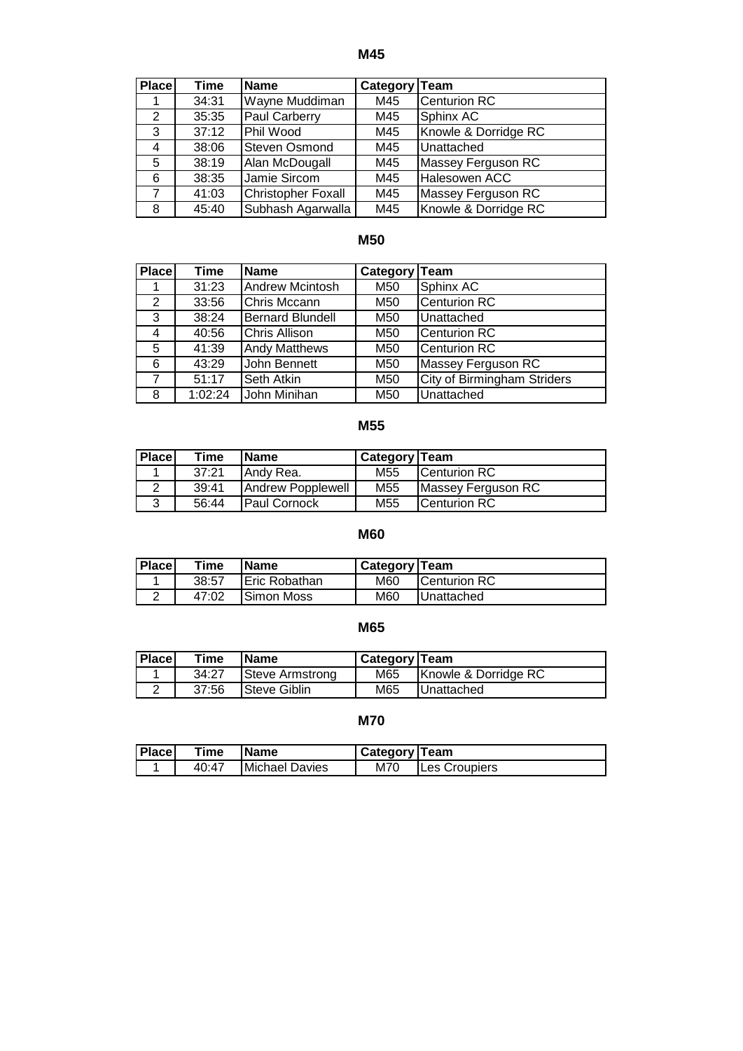**M45**

| Place | Time  | Name                 | Category Team |                      |
|-------|-------|----------------------|---------------|----------------------|
|       | 34:31 | Wayne Muddiman       | M45           | <b>Centurion RC</b>  |
| 2     | 35:35 | Paul Carberry        | M45           | Sphinx AC            |
| 3     | 37:12 | Phil Wood            | M45           | Knowle & Dorridge RC |
| 4     | 38:06 | <b>Steven Osmond</b> | M45           | Unattached           |
| 5     | 38:19 | Alan McDougall       | M45           | Massey Ferguson RC   |
| 6     | 38:35 | Jamie Sircom         | M45           | <b>Halesowen ACC</b> |
| 7     | 41:03 | Christopher Foxall   | M45           | Massey Ferguson RC   |
| 8     | 45:40 | Subhash Agarwalla    | M45           | Knowle & Dorridge RC |

## **M50**

| <b>Place</b> | Time    | <b>Name</b>             | Category Team |                                    |
|--------------|---------|-------------------------|---------------|------------------------------------|
|              | 31:23   | <b>Andrew Mcintosh</b>  | M50           | Sphinx AC                          |
| 2            | 33:56   | Chris Mccann            | M50           | <b>Centurion RC</b>                |
| 3            | 38:24   | <b>Bernard Blundell</b> | M50           | Unattached                         |
| 4            | 40:56   | <b>Chris Allison</b>    | M50           | <b>Centurion RC</b>                |
| 5            | 41:39   | <b>Andy Matthews</b>    | M50           | Centurion RC                       |
| 6            | 43:29   | John Bennett            | M50           | Massey Ferguson RC                 |
| 7            | 51:17   | Seth Atkin              | M50           | <b>City of Birmingham Striders</b> |
| 8            | 1:02:24 | John Minihan            | M50           | Unattached                         |

# **M55**

| <b>Place</b> | Time  | <b>Name</b>          | <b>Category Team</b> |                      |
|--------------|-------|----------------------|----------------------|----------------------|
|              | 37:21 | Andy Rea.            | M <sub>55</sub>      | <b>Centurion RC</b>  |
| $\sim$       | 39:41 | Andrew Popplewell    | M <sub>55</sub>      | Massey Ferguson RC   |
| 3            | 56:44 | <b>IPaul Cornock</b> | M55                  | <b>ICenturion RC</b> |

## **M60**

| <b>Place</b> | Time  | <b>Name</b>   | <b>Category Team</b> |                     |
|--------------|-------|---------------|----------------------|---------------------|
|              | 38:57 | Eric Robathan | M60                  | <b>Centurion RC</b> |
|              | 47:02 | Simon Moss    | M60                  | Unattached          |

# **M65**

| <b>Place</b> | Time  | <b>IName</b>         | Category   Team |                      |
|--------------|-------|----------------------|-----------------|----------------------|
|              | 34:27 | Steve Armstrong      | M65             | Knowle & Dorridge RC |
|              | 37:56 | <b>ISteve Giblin</b> | M65             | <b>IUnattached</b>   |

## **M70**

| <b>I</b> Place | Time  | 'Name                  | <b>Category Team</b> |               |
|----------------|-------|------------------------|----------------------|---------------|
|                | 40:47 | <b>IMichael Davies</b> | M70                  | Les Croupiers |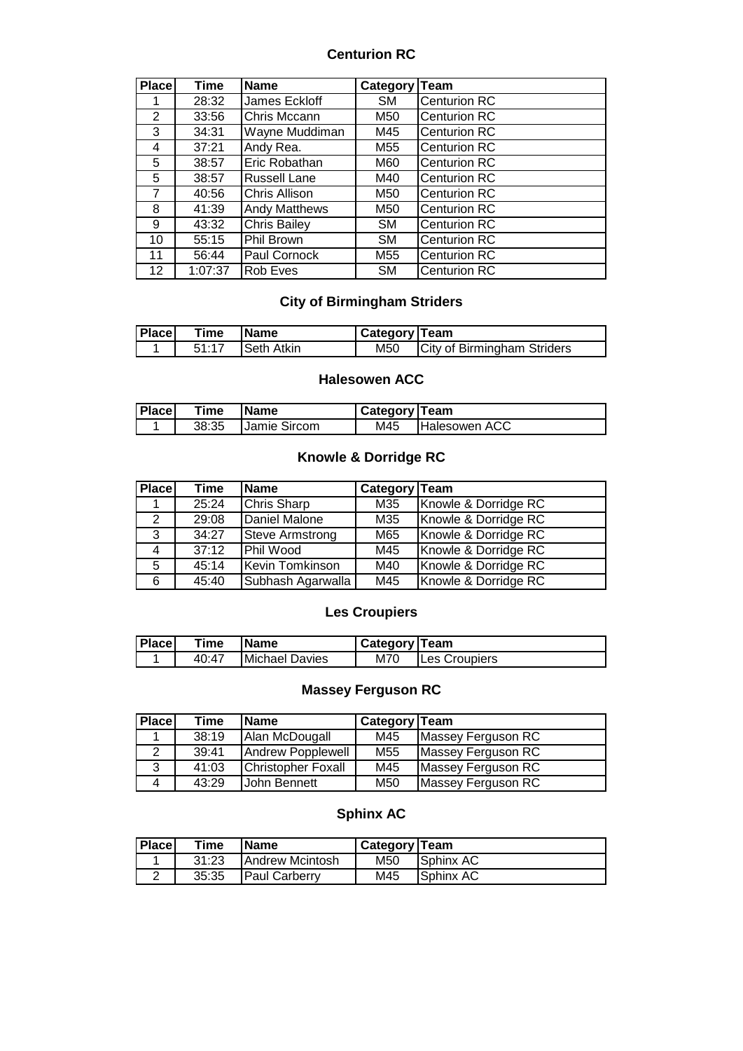#### **Centurion RC**

| <b>Place</b>      | Time    | <b>Name</b>          | Category Team |                     |
|-------------------|---------|----------------------|---------------|---------------------|
|                   | 28:32   | James Eckloff        | <b>SM</b>     | <b>Centurion RC</b> |
| 2                 | 33:56   | Chris Mccann         | M50           | <b>Centurion RC</b> |
| 3                 | 34:31   | Wayne Muddiman       | M45           | <b>Centurion RC</b> |
| 4                 | 37:21   | Andy Rea.            | M55           | <b>Centurion RC</b> |
| 5                 | 38:57   | Eric Robathan        | M60           | <b>Centurion RC</b> |
| 5                 | 38:57   | <b>Russell Lane</b>  | M40           | <b>Centurion RC</b> |
| 7                 | 40:56   | <b>Chris Allison</b> | M50           | <b>Centurion RC</b> |
| 8                 | 41:39   | <b>Andy Matthews</b> | M50           | <b>Centurion RC</b> |
| 9                 | 43:32   | <b>Chris Bailey</b>  | <b>SM</b>     | Centurion RC        |
| 10                | 55:15   | Phil Brown           | <b>SM</b>     | <b>Centurion RC</b> |
| 11                | 56:44   | Paul Cornock         | M55           | Centurion RC        |
| $12 \overline{ }$ | 1:07:37 | Rob Eves             | <b>SM</b>     | <b>Centurion RC</b> |

# **City of Birmingham Striders**

| <b>Place</b> | Time | <b>IName</b>            | Category   Team |                             |
|--------------|------|-------------------------|-----------------|-----------------------------|
|              |      | 51:17 <b>Seth Atkin</b> | M50             | City of Birmingham Striders |

### **Halesowen ACC**

| <b>Place</b> | Time  | lName                | <b>Category Team</b> |                      |
|--------------|-------|----------------------|----------------------|----------------------|
|              | 38:35 | <b>IJamie Sircom</b> | M45                  | <b>Halesowen ACC</b> |

## **Knowle & Dorridge RC**

| <b>Place</b>   | Time  | <b>Name</b>       | Category Team |                      |
|----------------|-------|-------------------|---------------|----------------------|
|                | 25:24 | Chris Sharp       | M35           | Knowle & Dorridge RC |
| $\mathbf{2}^-$ | 29:08 | Daniel Malone     | M35           | Knowle & Dorridge RC |
| 3              | 34:27 | Steve Armstrong   | M65           | Knowle & Dorridge RC |
| $\overline{4}$ | 37:12 | Phil Wood         | M45           | Knowle & Dorridge RC |
| 5.             | 45:14 | Kevin Tomkinson   | M40           | Knowle & Dorridge RC |
| 6              | 45:40 | Subhash Agarwalla | M45           | Knowle & Dorridge RC |

# **Les Croupiers**

| <b>Place</b> | Time  | <b>IName</b>   | <b>Category Team</b> |               |
|--------------|-------|----------------|----------------------|---------------|
|              | 40:47 | Michael Davies | M70                  | Les Croupiers |

## **Massey Ferguson RC**

| <b>Place</b> | Time  | <b>Name</b>               | Category Team   |                    |
|--------------|-------|---------------------------|-----------------|--------------------|
|              | 38:19 | Alan McDougall            | M45             | Massey Ferguson RC |
|              | 39:41 | Andrew Popplewell         | M <sub>55</sub> | Massey Ferguson RC |
| 3            | 41:03 | <b>Christopher Foxall</b> | M45             | Massey Ferguson RC |
| 4            | 43:29 | John Bennett              | M50             | Massey Ferguson RC |

## **Sphinx AC**

| Place | Time  | <b>IName</b>            | <b>Category Team</b> |                   |
|-------|-------|-------------------------|----------------------|-------------------|
|       | 31:23 | <b>IAndrew Mcintosh</b> | M50                  | <b>ISphinx AC</b> |
|       | 35:35 | <b>IPaul Carberry</b>   | M45                  | <b>Sphinx AC</b>  |